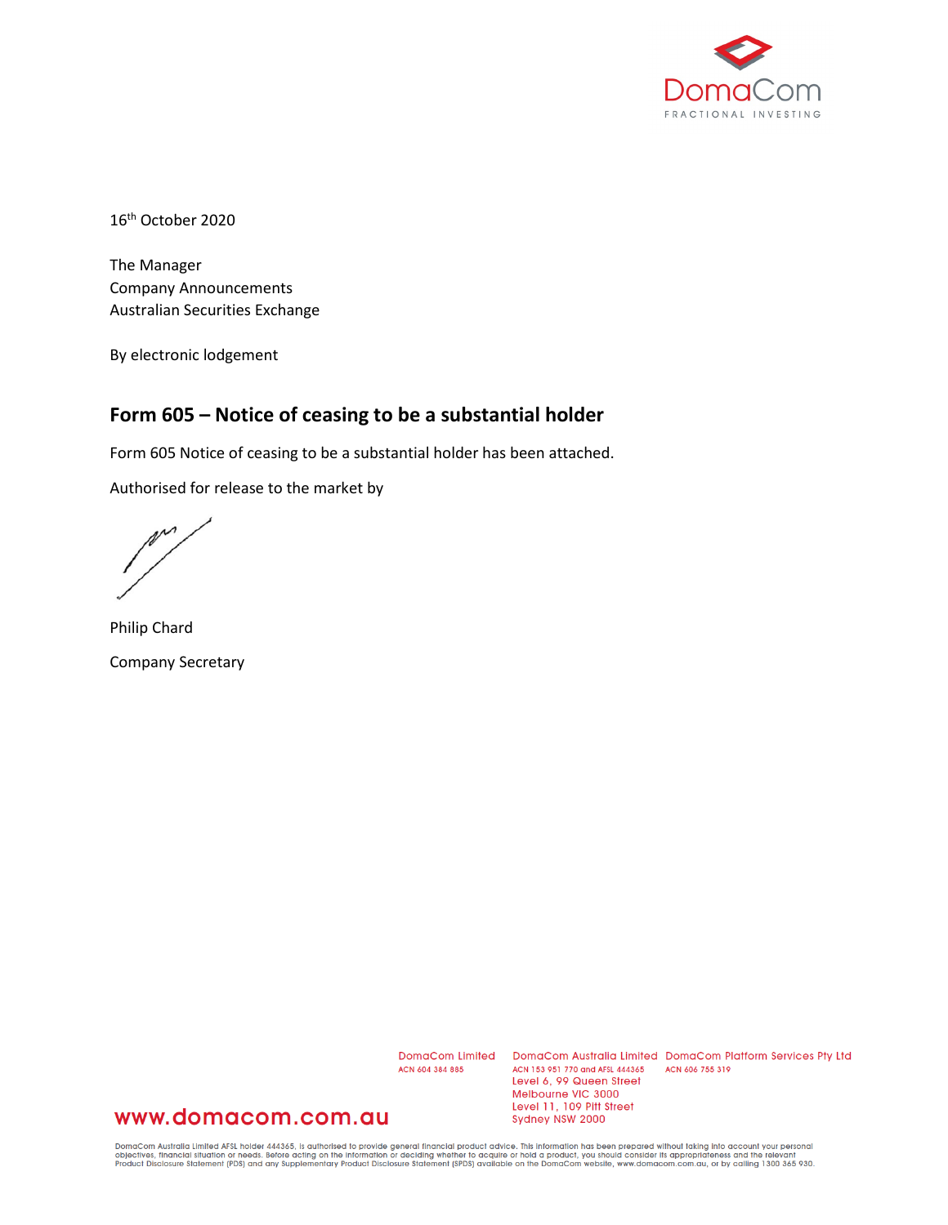

16th October 2020

The Manager Company Announcements Australian Securities Exchange

By electronic lodgement

## **Form 605 – Notice of ceasing to be a substantial holder**

Form 605 Notice of ceasing to be a substantial holder has been attached.

Authorised for release to the market by

 $\mathbb{M}^{\mathcal{M}}$ 

Philip Chard Company Secretary

ACN 604 384 885

DomaCom Limited DomaCom Australia Limited DomaCom Platform Services Pty Ltd ACN 153 951 770 and AFSL 444365 ACN 606 755 319 Level 6, 99 Queen Street Melbourne VIC 3000 Level 11, 109 Pitt Street Sydney NSW 2000

### www.domacom.com.au

DomaCom Australia Limited AFSL holder 444365, is authorised to provide general financial product advice. This information has been prepared without taking into account your personal<br>objectives, financial situation or needs